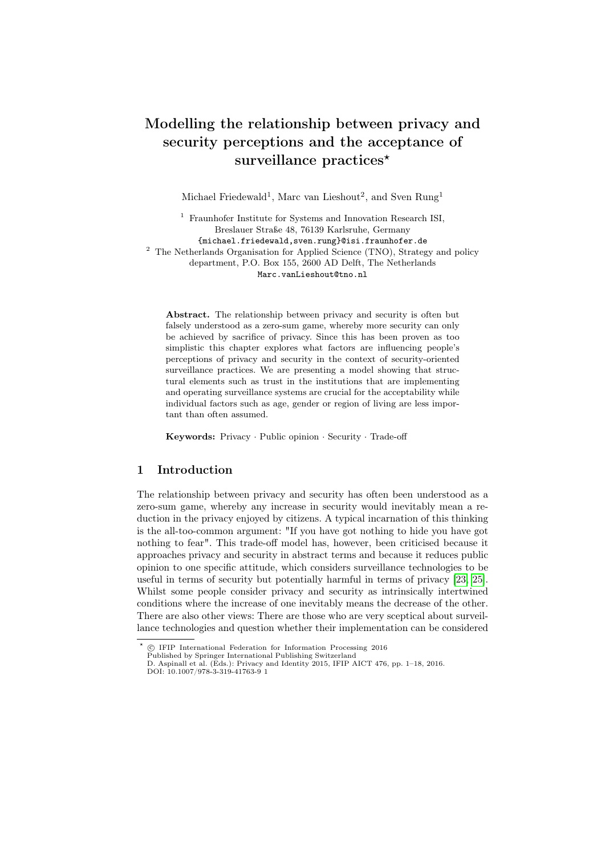# Modelling the relationship between privacy and security perceptions and the acceptance of surveillance practices<sup>\*</sup>

Michael Friedewald<sup>1</sup>, Marc van Lieshout<sup>2</sup>, and Sven Rung<sup>1</sup>

 $^{\rm 1}$  Fraunhofer Institute for Systems and Innovation Research ISI, Breslauer Straße 48, 76139 Karlsruhe, Germany {michael.friedewald,sven.rung}@isi.fraunhofer.de <sup>2</sup> The Netherlands Organisation for Applied Science (TNO), Strategy and policy department, P.O. Box 155, 2600 AD Delft, The Netherlands Marc.vanLieshout@tno.nl

Abstract. The relationship between privacy and security is often but falsely understood as a zero-sum game, whereby more security can only be achieved by sacrifice of privacy. Since this has been proven as too simplistic this chapter explores what factors are influencing people's perceptions of privacy and security in the context of security-oriented surveillance practices. We are presenting a model showing that structural elements such as trust in the institutions that are implementing and operating surveillance systems are crucial for the acceptability while individual factors such as age, gender or region of living are less important than often assumed.

Keywords: Privacy · Public opinion · Security · Trade-off

## 1 Introduction

The relationship between privacy and security has often been understood as a zero-sum game, whereby any increase in security would inevitably mean a reduction in the privacy enjoyed by citizens. A typical incarnation of this thinking is the all-too-common argument: "If you have got nothing to hide you have got nothing to fear". This trade-off model has, however, been criticised because it approaches privacy and security in abstract terms and because it reduces public opinion to one specific attitude, which considers surveillance technologies to be useful in terms of security but potentially harmful in terms of privacy [\[23,](#page-15-0) [25\]](#page-15-1). Whilst some people consider privacy and security as intrinsically intertwined conditions where the increase of one inevitably means the decrease of the other. There are also other views: There are those who are very sceptical about surveillance technologies and question whether their implementation can be considered

<sup>?</sup> <sup>c</sup> IFIP International Federation for Information Processing 2016 Published by Springer International Publishing Switzerland

D. Aspinall et al. (Eds.): Privacy and Identity 2015, IFIP AICT 476, pp. 1–18, 2016.

DOI: 10.1007/978-3-319-41763-9 1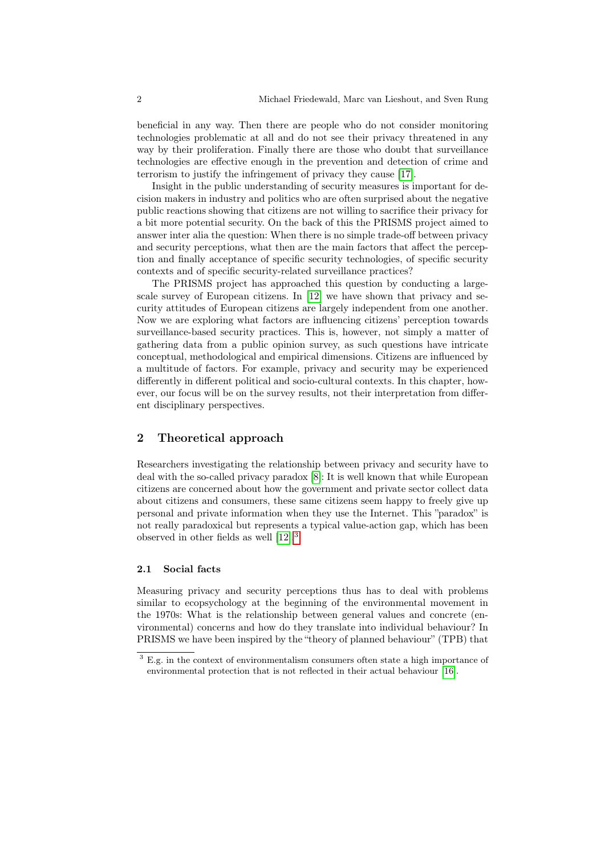beneficial in any way. Then there are people who do not consider monitoring technologies problematic at all and do not see their privacy threatened in any way by their proliferation. Finally there are those who doubt that surveillance technologies are effective enough in the prevention and detection of crime and terrorism to justify the infringement of privacy they cause [\[17\]](#page-14-0).

Insight in the public understanding of security measures is important for decision makers in industry and politics who are often surprised about the negative public reactions showing that citizens are not willing to sacrifice their privacy for a bit more potential security. On the back of this the PRISMS project aimed to answer inter alia the question: When there is no simple trade-off between privacy and security perceptions, what then are the main factors that affect the perception and finally acceptance of specific security technologies, of specific security contexts and of specific security-related surveillance practices?

The PRISMS project has approached this question by conducting a largescale survey of European citizens. In [\[12\]](#page-14-1) we have shown that privacy and security attitudes of European citizens are largely independent from one another. Now we are exploring what factors are influencing citizens' perception towards surveillance-based security practices. This is, however, not simply a matter of gathering data from a public opinion survey, as such questions have intricate conceptual, methodological and empirical dimensions. Citizens are influenced by a multitude of factors. For example, privacy and security may be experienced differently in different political and socio-cultural contexts. In this chapter, however, our focus will be on the survey results, not their interpretation from different disciplinary perspectives.

## 2 Theoretical approach

Researchers investigating the relationship between privacy and security have to deal with the so-called privacy paradox [\[8\]](#page-13-0): It is well known that while European citizens are concerned about how the government and private sector collect data about citizens and consumers, these same citizens seem happy to freely give up personal and private information when they use the Internet. This "paradox" is not really paradoxical but represents a typical value-action gap, which has been observed in other fields as well [\[12\]](#page-14-1).[3](#page-1-0)

#### 2.1 Social facts

Measuring privacy and security perceptions thus has to deal with problems similar to ecopsychology at the beginning of the environmental movement in the 1970s: What is the relationship between general values and concrete (environmental) concerns and how do they translate into individual behaviour? In PRISMS we have been inspired by the "theory of planned behaviour" (TPB) that

<span id="page-1-0"></span><sup>&</sup>lt;sup>3</sup> E.g. in the context of environmentalism consumers often state a high importance of environmental protection that is not reflected in their actual behaviour [\[16\]](#page-14-2).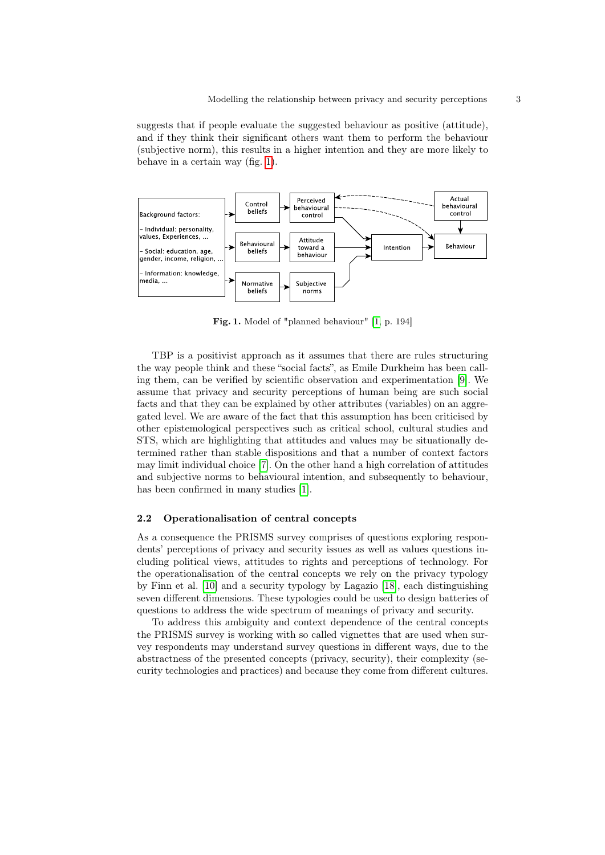suggests that if people evaluate the suggested behaviour as positive (attitude), and if they think their significant others want them to perform the behaviour (subjective norm), this results in a higher intention and they are more likely to behave in a certain way (fig. [1\)](#page-2-0).



<span id="page-2-0"></span>Fig. 1. Model of "planned behaviour" [\[1,](#page-13-1) p. 194]

TBP is a positivist approach as it assumes that there are rules structuring the way people think and these "social facts", as Emile Durkheim has been calling them, can be verified by scientific observation and experimentation [\[9\]](#page-13-2). We assume that privacy and security perceptions of human being are such social facts and that they can be explained by other attributes (variables) on an aggregated level. We are aware of the fact that this assumption has been criticised by other epistemological perspectives such as critical school, cultural studies and STS, which are highlighting that attitudes and values may be situationally determined rather than stable dispositions and that a number of context factors may limit individual choice [\[7\]](#page-13-3). On the other hand a high correlation of attitudes and subjective norms to behavioural intention, and subsequently to behaviour, has been confirmed in many studies [\[1\]](#page-13-1).

#### 2.2 Operationalisation of central concepts

As a consequence the PRISMS survey comprises of questions exploring respondents' perceptions of privacy and security issues as well as values questions including political views, attitudes to rights and perceptions of technology. For the operationalisation of the central concepts we rely on the privacy typology by Finn et al. [\[10\]](#page-14-3) and a security typology by Lagazio [\[18\]](#page-14-4), each distinguishing seven different dimensions. These typologies could be used to design batteries of questions to address the wide spectrum of meanings of privacy and security.

To address this ambiguity and context dependence of the central concepts the PRISMS survey is working with so called vignettes that are used when survey respondents may understand survey questions in different ways, due to the abstractness of the presented concepts (privacy, security), their complexity (security technologies and practices) and because they come from different cultures.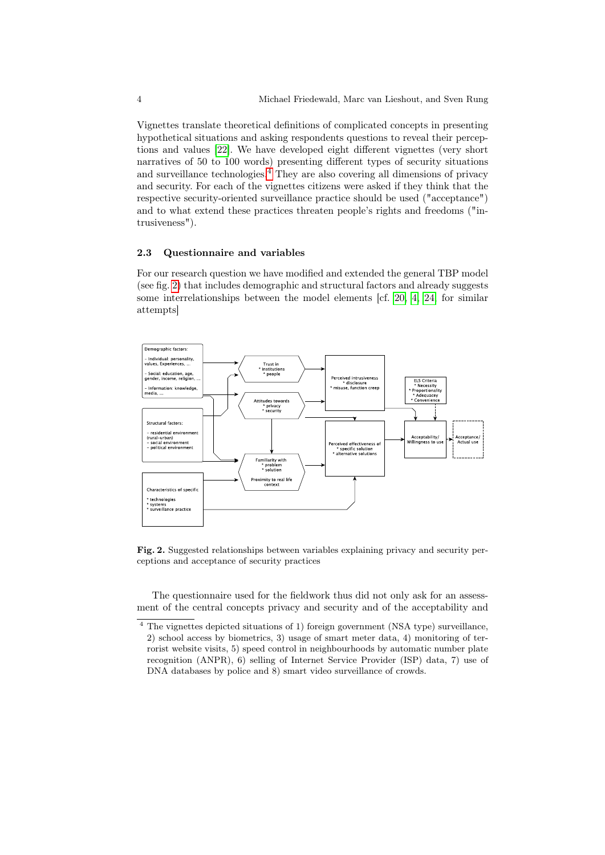Vignettes translate theoretical definitions of complicated concepts in presenting hypothetical situations and asking respondents questions to reveal their perceptions and values [\[22\]](#page-14-5). We have developed eight different vignettes (very short narratives of 50 to 100 words) presenting different types of security situations and surveillance technologies.[4](#page-3-0) They are also covering all dimensions of privacy and security. For each of the vignettes citizens were asked if they think that the respective security-oriented surveillance practice should be used ("acceptance") and to what extend these practices threaten people's rights and freedoms ("intrusiveness").

#### 2.3 Questionnaire and variables

For our research question we have modified and extended the general TBP model (see fig. [2\)](#page-3-1) that includes demographic and structural factors and already suggests some interrelationships between the model elements [cf. [20,](#page-14-6) [4,](#page-13-4) [24,](#page-15-2) for similar attempts]



<span id="page-3-1"></span>Fig. 2. Suggested relationships between variables explaining privacy and security perceptions and acceptance of security practices

The questionnaire used for the fieldwork thus did not only ask for an assessment of the central concepts privacy and security and of the acceptability and

<span id="page-3-0"></span><sup>4</sup> The vignettes depicted situations of 1) foreign government (NSA type) surveillance, 2) school access by biometrics, 3) usage of smart meter data, 4) monitoring of terrorist website visits, 5) speed control in neighbourhoods by automatic number plate recognition (ANPR), 6) selling of Internet Service Provider (ISP) data, 7) use of DNA databases by police and 8) smart video surveillance of crowds.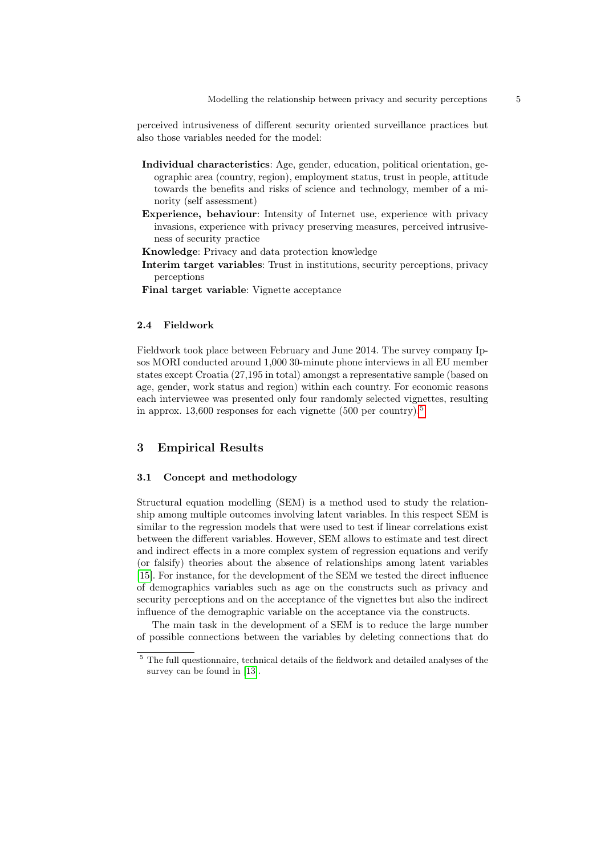perceived intrusiveness of different security oriented surveillance practices but also those variables needed for the model:

- Individual characteristics: Age, gender, education, political orientation, geographic area (country, region), employment status, trust in people, attitude towards the benefits and risks of science and technology, member of a minority (self assessment)
- Experience, behaviour: Intensity of Internet use, experience with privacy invasions, experience with privacy preserving measures, perceived intrusiveness of security practice
- Knowledge: Privacy and data protection knowledge
- Interim target variables: Trust in institutions, security perceptions, privacy perceptions
- Final target variable: Vignette acceptance

#### 2.4 Fieldwork

Fieldwork took place between February and June 2014. The survey company Ipsos MORI conducted around 1,000 30-minute phone interviews in all EU member states except Croatia (27,195 in total) amongst a representative sample (based on age, gender, work status and region) within each country. For economic reasons each interviewee was presented only four randomly selected vignettes, resulting in approx. 13,600 responses for each vignette (500 per country).[5](#page-4-0)

## 3 Empirical Results

#### 3.1 Concept and methodology

Structural equation modelling (SEM) is a method used to study the relationship among multiple outcomes involving latent variables. In this respect SEM is similar to the regression models that were used to test if linear correlations exist between the different variables. However, SEM allows to estimate and test direct and indirect effects in a more complex system of regression equations and verify (or falsify) theories about the absence of relationships among latent variables [\[15\]](#page-14-7). For instance, for the development of the SEM we tested the direct influence of demographics variables such as age on the constructs such as privacy and security perceptions and on the acceptance of the vignettes but also the indirect influence of the demographic variable on the acceptance via the constructs.

The main task in the development of a SEM is to reduce the large number of possible connections between the variables by deleting connections that do

<span id="page-4-0"></span> $^{\rm 5}$  The full questionnaire, technical details of the fieldwork and detailed analyses of the survey can be found in [\[13\]](#page-14-8).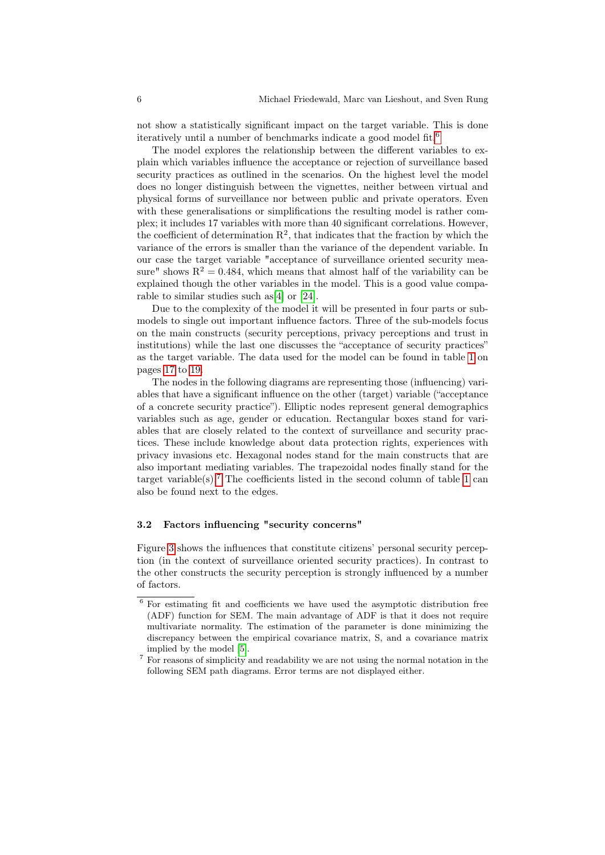not show a statistically significant impact on the target variable. This is done iteratively until a number of benchmarks indicate a good model fit.[6](#page-5-0)

The model explores the relationship between the different variables to explain which variables influence the acceptance or rejection of surveillance based security practices as outlined in the scenarios. On the highest level the model does no longer distinguish between the vignettes, neither between virtual and physical forms of surveillance nor between public and private operators. Even with these generalisations or simplifications the resulting model is rather complex; it includes 17 variables with more than 40 significant correlations. However, the coefficient of determination  $\mathbb{R}^2$ , that indicates that the fraction by which the variance of the errors is smaller than the variance of the dependent variable. In our case the target variable "acceptance of surveillance oriented security measure" shows  $R^2 = 0.484$ , which means that almost half of the variability can be explained though the other variables in the model. This is a good value comparable to similar studies such as[\[4\]](#page-13-4) or [\[24\]](#page-15-2).

Due to the complexity of the model it will be presented in four parts or submodels to single out important influence factors. Three of the sub-models focus on the main constructs (security perceptions, privacy perceptions and trust in institutions) while the last one discusses the "acceptance of security practices" as the target variable. The data used for the model can be found in table [1](#page-16-0) on pages [17](#page-16-0) to [19.](#page-16-0)

The nodes in the following diagrams are representing those (influencing) variables that have a significant influence on the other (target) variable ("acceptance of a concrete security practice"). Elliptic nodes represent general demographics variables such as age, gender or education. Rectangular boxes stand for variables that are closely related to the context of surveillance and security practices. These include knowledge about data protection rights, experiences with privacy invasions etc. Hexagonal nodes stand for the main constructs that are also important mediating variables. The trapezoidal nodes finally stand for the target variable(s).<sup>[7](#page-5-1)</sup> The coefficients listed in the second column of table [1](#page-16-0) can also be found next to the edges.

## 3.2 Factors influencing "security concerns"

Figure [3](#page-6-0) shows the influences that constitute citizens' personal security perception (in the context of surveillance oriented security practices). In contrast to the other constructs the security perception is strongly influenced by a number of factors.

<span id="page-5-0"></span> $6$  For estimating fit and coefficients we have used the asymptotic distribution free (ADF) function for SEM. The main advantage of ADF is that it does not require multivariate normality. The estimation of the parameter is done minimizing the discrepancy between the empirical covariance matrix, S, and a covariance matrix implied by the model [\[5\]](#page-13-5).

<span id="page-5-1"></span><sup>7</sup> For reasons of simplicity and readability we are not using the normal notation in the following SEM path diagrams. Error terms are not displayed either.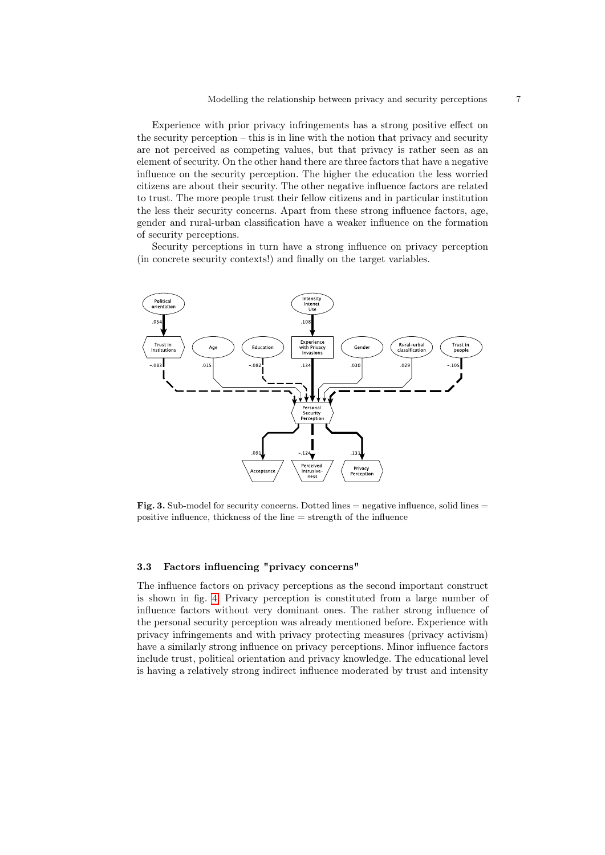Experience with prior privacy infringements has a strong positive effect on the security perception – this is in line with the notion that privacy and security are not perceived as competing values, but that privacy is rather seen as an element of security. On the other hand there are three factors that have a negative influence on the security perception. The higher the education the less worried citizens are about their security. The other negative influence factors are related to trust. The more people trust their fellow citizens and in particular institution the less their security concerns. Apart from these strong influence factors, age, gender and rural-urban classification have a weaker influence on the formation of security perceptions.

Security perceptions in turn have a strong influence on privacy perception (in concrete security contexts!) and finally on the target variables.



<span id="page-6-0"></span>Fig. 3. Sub-model for security concerns. Dotted lines  $=$  negative influence, solid lines  $=$ positive influence, thickness of the line  $=$  strength of the influence

#### 3.3 Factors influencing "privacy concerns"

The influence factors on privacy perceptions as the second important construct is shown in fig. [4.](#page-7-0) Privacy perception is constituted from a large number of influence factors without very dominant ones. The rather strong influence of the personal security perception was already mentioned before. Experience with privacy infringements and with privacy protecting measures (privacy activism) have a similarly strong influence on privacy perceptions. Minor influence factors include trust, political orientation and privacy knowledge. The educational level is having a relatively strong indirect influence moderated by trust and intensity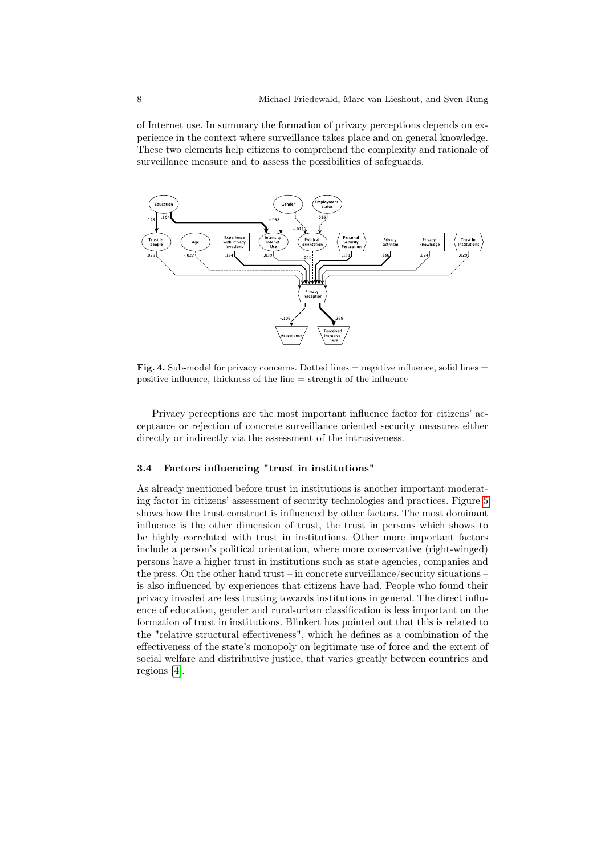of Internet use. In summary the formation of privacy perceptions depends on experience in the context where surveillance takes place and on general knowledge. These two elements help citizens to comprehend the complexity and rationale of surveillance measure and to assess the possibilities of safeguards.



<span id="page-7-0"></span>Fig. 4. Sub-model for privacy concerns. Dotted lines  $=$  negative influence, solid lines  $=$ positive influence, thickness of the line  $=$  strength of the influence

Privacy perceptions are the most important influence factor for citizens' acceptance or rejection of concrete surveillance oriented security measures either directly or indirectly via the assessment of the intrusiveness.

## 3.4 Factors influencing "trust in institutions"

As already mentioned before trust in institutions is another important moderating factor in citizens' assessment of security technologies and practices. Figure [5](#page-8-0) shows how the trust construct is influenced by other factors. The most dominant influence is the other dimension of trust, the trust in persons which shows to be highly correlated with trust in institutions. Other more important factors include a person's political orientation, where more conservative (right-winged) persons have a higher trust in institutions such as state agencies, companies and the press. On the other hand trust – in concrete surveillance/security situations – is also influenced by experiences that citizens have had. People who found their privacy invaded are less trusting towards institutions in general. The direct influence of education, gender and rural-urban classification is less important on the formation of trust in institutions. Blinkert has pointed out that this is related to the "relative structural effectiveness", which he defines as a combination of the effectiveness of the state's monopoly on legitimate use of force and the extent of social welfare and distributive justice, that varies greatly between countries and regions [\[4\]](#page-13-4).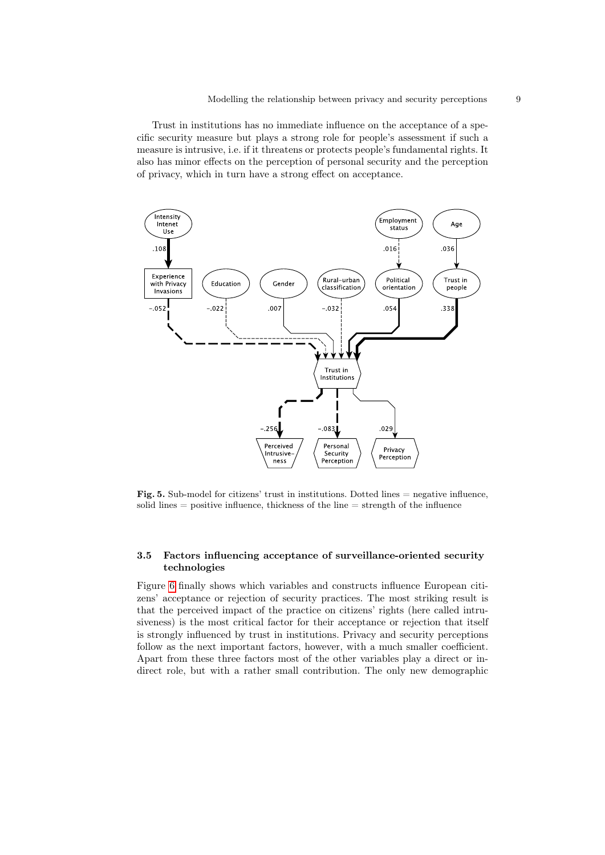Trust in institutions has no immediate influence on the acceptance of a specific security measure but plays a strong role for people's assessment if such a measure is intrusive, i.e. if it threatens or protects people's fundamental rights. It also has minor effects on the perception of personal security and the perception of privacy, which in turn have a strong effect on acceptance.



<span id="page-8-0"></span>Fig. 5. Sub-model for citizens' trust in institutions. Dotted lines = negative influence, solid lines  $=$  positive influence, thickness of the line  $=$  strength of the influence

## 3.5 Factors influencing acceptance of surveillance-oriented security technologies

Figure [6](#page-9-0) finally shows which variables and constructs influence European citizens' acceptance or rejection of security practices. The most striking result is that the perceived impact of the practice on citizens' rights (here called intrusiveness) is the most critical factor for their acceptance or rejection that itself is strongly influenced by trust in institutions. Privacy and security perceptions follow as the next important factors, however, with a much smaller coefficient. Apart from these three factors most of the other variables play a direct or indirect role, but with a rather small contribution. The only new demographic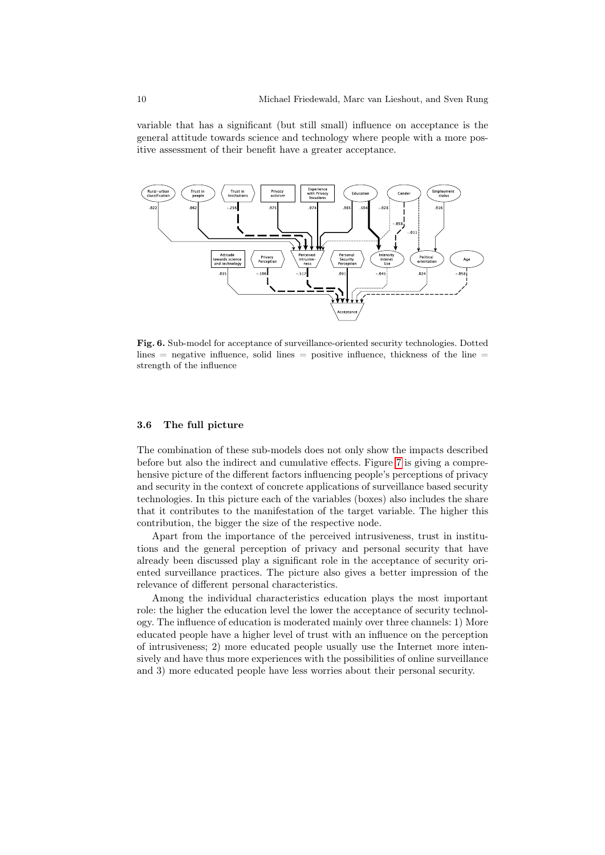variable that has a significant (but still small) influence on acceptance is the general attitude towards science and technology where people with a more positive assessment of their benefit have a greater acceptance.



<span id="page-9-0"></span>Fig. 6. Sub-model for acceptance of surveillance-oriented security technologies. Dotted lines  $=$  negative influence, solid lines  $=$  positive influence, thickness of the line  $=$ strength of the influence

## 3.6 The full picture

The combination of these sub-models does not only show the impacts described before but also the indirect and cumulative effects. Figure [7](#page-10-0) is giving a comprehensive picture of the different factors influencing people's perceptions of privacy and security in the context of concrete applications of surveillance based security technologies. In this picture each of the variables (boxes) also includes the share that it contributes to the manifestation of the target variable. The higher this contribution, the bigger the size of the respective node.

Apart from the importance of the perceived intrusiveness, trust in institutions and the general perception of privacy and personal security that have already been discussed play a significant role in the acceptance of security oriented surveillance practices. The picture also gives a better impression of the relevance of different personal characteristics.

Among the individual characteristics education plays the most important role: the higher the education level the lower the acceptance of security technology. The influence of education is moderated mainly over three channels: 1) More educated people have a higher level of trust with an influence on the perception of intrusiveness; 2) more educated people usually use the Internet more intensively and have thus more experiences with the possibilities of online surveillance and 3) more educated people have less worries about their personal security.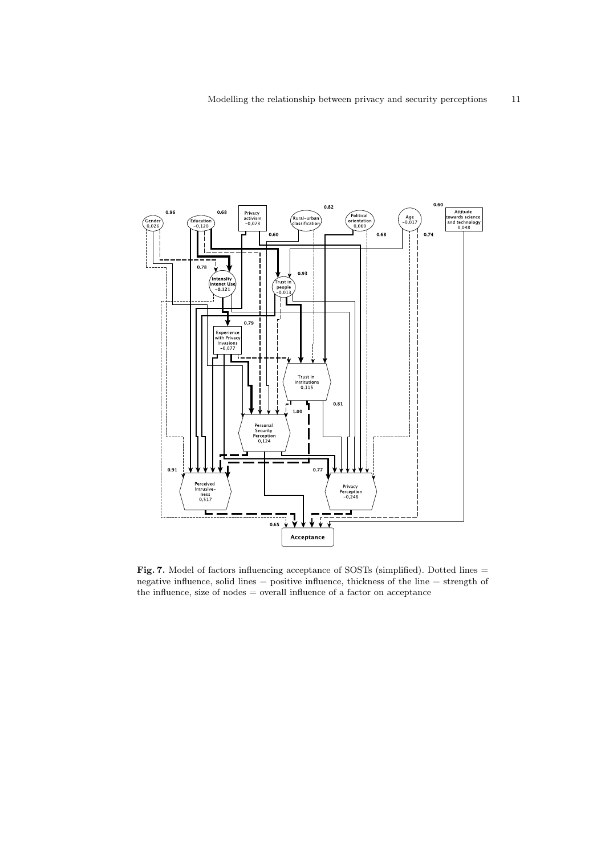

<span id="page-10-0"></span>Fig. 7. Model of factors influencing acceptance of SOSTs (simplified). Dotted lines = negative influence, solid lines = positive influence, thickness of the line = strength of the influence, size of nodes = overall influence of a factor on acceptance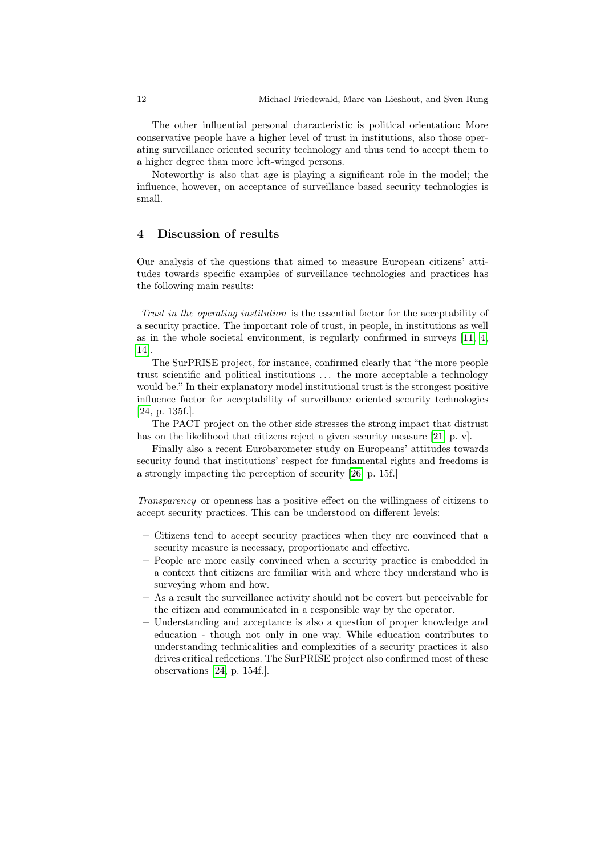The other influential personal characteristic is political orientation: More conservative people have a higher level of trust in institutions, also those operating surveillance oriented security technology and thus tend to accept them to a higher degree than more left-winged persons.

Noteworthy is also that age is playing a significant role in the model; the influence, however, on acceptance of surveillance based security technologies is small.

## 4 Discussion of results

Our analysis of the questions that aimed to measure European citizens' attitudes towards specific examples of surveillance technologies and practices has the following main results:

Trust in the operating institution is the essential factor for the acceptability of a security practice. The important role of trust, in people, in institutions as well as in the whole societal environment, is regularly confirmed in surveys [\[11,](#page-14-9) [4,](#page-13-4) [14\]](#page-14-10).

The SurPRISE project, for instance, confirmed clearly that "the more people trust scientific and political institutions . . . the more acceptable a technology would be." In their explanatory model institutional trust is the strongest positive influence factor for acceptability of surveillance oriented security technologies [\[24,](#page-15-2) p. 135f.].

The PACT project on the other side stresses the strong impact that distrust has on the likelihood that citizens reject a given security measure [\[21,](#page-14-11) p. v].

Finally also a recent Eurobarometer study on Europeans' attitudes towards security found that institutions' respect for fundamental rights and freedoms is a strongly impacting the perception of security [\[26,](#page-15-3) p. 15f.]

Transparency or openness has a positive effect on the willingness of citizens to accept security practices. This can be understood on different levels:

- Citizens tend to accept security practices when they are convinced that a security measure is necessary, proportionate and effective.
- People are more easily convinced when a security practice is embedded in a context that citizens are familiar with and where they understand who is surveying whom and how.
- As a result the surveillance activity should not be covert but perceivable for the citizen and communicated in a responsible way by the operator.
- Understanding and acceptance is also a question of proper knowledge and education - though not only in one way. While education contributes to understanding technicalities and complexities of a security practices it also drives critical reflections. The SurPRISE project also confirmed most of these observations [\[24,](#page-15-2) p. 154f.].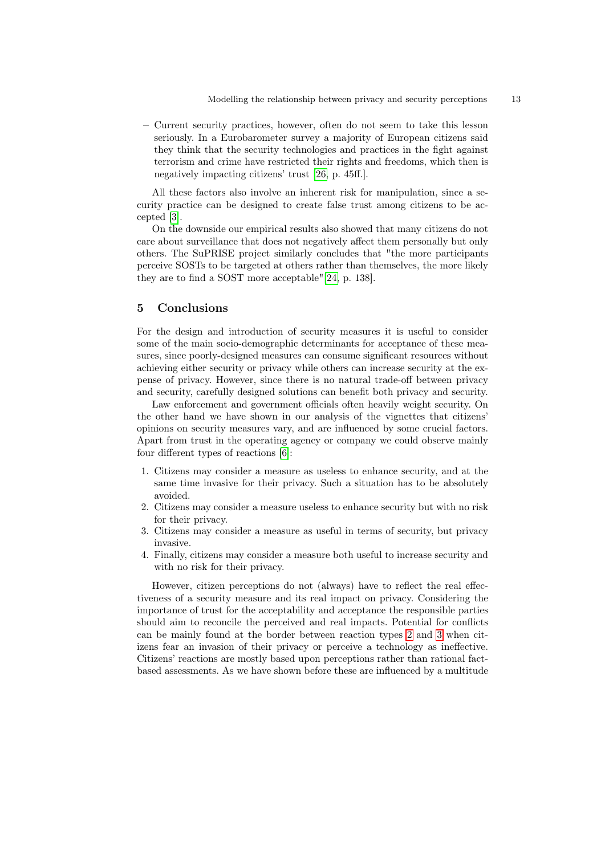– Current security practices, however, often do not seem to take this lesson seriously. In a Eurobarometer survey a majority of European citizens said they think that the security technologies and practices in the fight against terrorism and crime have restricted their rights and freedoms, which then is negatively impacting citizens' trust [\[26,](#page-15-3) p. 45ff.].

All these factors also involve an inherent risk for manipulation, since a security practice can be designed to create false trust among citizens to be accepted [\[3\]](#page-13-6).

On the downside our empirical results also showed that many citizens do not care about surveillance that does not negatively affect them personally but only others. The SuPRISE project similarly concludes that "the more participants perceive SOSTs to be targeted at others rather than themselves, the more likely they are to find a SOST more acceptable"[\[24,](#page-15-2) p. 138].

## 5 Conclusions

For the design and introduction of security measures it is useful to consider some of the main socio-demographic determinants for acceptance of these measures, since poorly-designed measures can consume significant resources without achieving either security or privacy while others can increase security at the expense of privacy. However, since there is no natural trade-off between privacy and security, carefully designed solutions can benefit both privacy and security.

Law enforcement and government officials often heavily weight security. On the other hand we have shown in our analysis of the vignettes that citizens' opinions on security measures vary, and are influenced by some crucial factors. Apart from trust in the operating agency or company we could observe mainly four different types of reactions [\[6\]](#page-13-7):

- 1. Citizens may consider a measure as useless to enhance security, and at the same time invasive for their privacy. Such a situation has to be absolutely avoided.
- <span id="page-12-0"></span>2. Citizens may consider a measure useless to enhance security but with no risk for their privacy.
- <span id="page-12-1"></span>3. Citizens may consider a measure as useful in terms of security, but privacy invasive.
- 4. Finally, citizens may consider a measure both useful to increase security and with no risk for their privacy.

However, citizen perceptions do not (always) have to reflect the real effectiveness of a security measure and its real impact on privacy. Considering the importance of trust for the acceptability and acceptance the responsible parties should aim to reconcile the perceived and real impacts. Potential for conflicts can be mainly found at the border between reaction types [2](#page-12-0) and [3](#page-12-1) when citizens fear an invasion of their privacy or perceive a technology as ineffective. Citizens' reactions are mostly based upon perceptions rather than rational factbased assessments. As we have shown before these are influenced by a multitude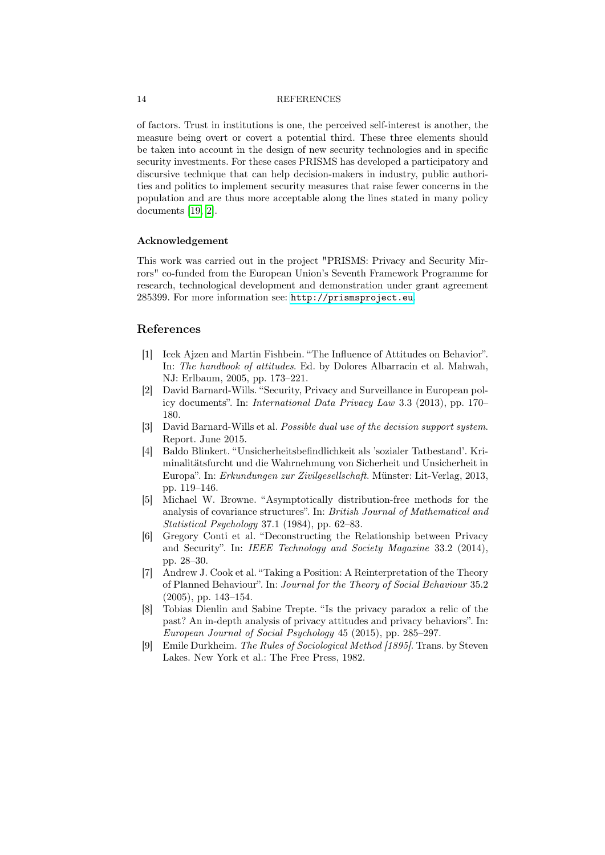#### 14 REFERENCES

of factors. Trust in institutions is one, the perceived self-interest is another, the measure being overt or covert a potential third. These three elements should be taken into account in the design of new security technologies and in specific security investments. For these cases PRISMS has developed a participatory and discursive technique that can help decision-makers in industry, public authorities and politics to implement security measures that raise fewer concerns in the population and are thus more acceptable along the lines stated in many policy documents [\[19,](#page-14-12) [2\]](#page-13-8).

## Acknowledgement

This work was carried out in the project "PRISMS: Privacy and Security Mirrors" co-funded from the European Union's Seventh Framework Programme for research, technological development and demonstration under grant agreement 285399. For more information see: <http://prismsproject.eu>.

## References

- <span id="page-13-1"></span>[1] Icek Ajzen and Martin Fishbein. "The Influence of Attitudes on Behavior". In: The handbook of attitudes. Ed. by Dolores Albarracin et al. Mahwah, NJ: Erlbaum, 2005, pp. 173–221.
- <span id="page-13-8"></span>[2] David Barnard-Wills. "Security, Privacy and Surveillance in European policy documents". In: International Data Privacy Law 3.3 (2013), pp. 170– 180.
- <span id="page-13-6"></span>[3] David Barnard-Wills et al. Possible dual use of the decision support system. Report. June 2015.
- <span id="page-13-4"></span>[4] Baldo Blinkert. "Unsicherheitsbefindlichkeit als 'sozialer Tatbestand'. Kriminalitätsfurcht und die Wahrnehmung von Sicherheit und Unsicherheit in Europa". In: Erkundungen zur Zivilgesellschaft. Münster: Lit-Verlag, 2013, pp. 119–146.
- <span id="page-13-5"></span>[5] Michael W. Browne. "Asymptotically distribution-free methods for the analysis of covariance structures". In: British Journal of Mathematical and Statistical Psychology 37.1 (1984), pp. 62–83.
- <span id="page-13-7"></span>[6] Gregory Conti et al. "Deconstructing the Relationship between Privacy and Security". In: IEEE Technology and Society Magazine 33.2 (2014), pp. 28–30.
- <span id="page-13-3"></span>[7] Andrew J. Cook et al. "Taking a Position: A Reinterpretation of the Theory of Planned Behaviour". In: Journal for the Theory of Social Behaviour 35.2 (2005), pp. 143–154.
- <span id="page-13-0"></span>[8] Tobias Dienlin and Sabine Trepte. "Is the privacy paradox a relic of the past? An in-depth analysis of privacy attitudes and privacy behaviors". In: European Journal of Social Psychology 45 (2015), pp. 285–297.
- <span id="page-13-2"></span>[9] Emile Durkheim. The Rules of Sociological Method [1895]. Trans. by Steven Lakes. New York et al.: The Free Press, 1982.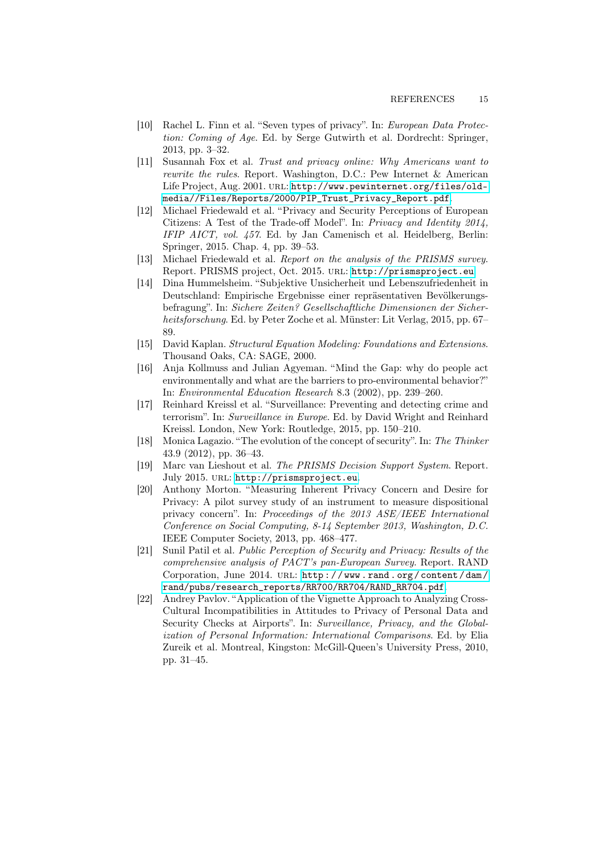- <span id="page-14-3"></span>[10] Rachel L. Finn et al. "Seven types of privacy". In: European Data Protection: Coming of Age. Ed. by Serge Gutwirth et al. Dordrecht: Springer, 2013, pp. 3–32.
- <span id="page-14-9"></span>[11] Susannah Fox et al. Trust and privacy online: Why Americans want to rewrite the rules. Report. Washington, D.C.: Pew Internet & American Life Project, Aug. 2001. url: [http://www.pewinternet.org/files/old](http://www.pewinternet.org/files/old-media//Files/Reports/2000/PIP_Trust_Privacy_Report.pdf)[media//Files/Reports/2000/PIP\\_Trust\\_Privacy\\_Report.pdf](http://www.pewinternet.org/files/old-media//Files/Reports/2000/PIP_Trust_Privacy_Report.pdf).
- <span id="page-14-1"></span>[12] Michael Friedewald et al. "Privacy and Security Perceptions of European Citizens: A Test of the Trade-off Model". In: Privacy and Identity 2014, IFIP AICT, vol. 457. Ed. by Jan Camenisch et al. Heidelberg, Berlin: Springer, 2015. Chap. 4, pp. 39–53.
- <span id="page-14-8"></span>[13] Michael Friedewald et al. Report on the analysis of the PRISMS survey. Report. PRISMS project, Oct. 2015. url: <http://prismsproject.eu>.
- <span id="page-14-10"></span>[14] Dina Hummelsheim. "Subjektive Unsicherheit und Lebenszufriedenheit in Deutschland: Empirische Ergebnisse einer repräsentativen Bevölkerungsbefragung". In: Sichere Zeiten? Gesellschaftliche Dimensionen der Sicherheitsforschung. Ed. by Peter Zoche et al. Münster: Lit Verlag, 2015, pp. 67– 89.
- <span id="page-14-7"></span>[15] David Kaplan. Structural Equation Modeling: Foundations and Extensions. Thousand Oaks, CA: SAGE, 2000.
- <span id="page-14-2"></span>[16] Anja Kollmuss and Julian Agyeman. "Mind the Gap: why do people act environmentally and what are the barriers to pro-environmental behavior?" In: Environmental Education Research 8.3 (2002), pp. 239–260.
- <span id="page-14-0"></span>[17] Reinhard Kreissl et al. "Surveillance: Preventing and detecting crime and terrorism". In: Surveillance in Europe. Ed. by David Wright and Reinhard Kreissl. London, New York: Routledge, 2015, pp. 150–210.
- <span id="page-14-4"></span>[18] Monica Lagazio. "The evolution of the concept of security". In: The Thinker 43.9 (2012), pp. 36–43.
- <span id="page-14-12"></span>[19] Marc van Lieshout et al. The PRISMS Decision Support System. Report. July 2015. url: <http://prismsproject.eu>.
- <span id="page-14-6"></span>[20] Anthony Morton. "Measuring Inherent Privacy Concern and Desire for Privacy: A pilot survey study of an instrument to measure dispositional privacy concern". In: Proceedings of the 2013 ASE/IEEE International Conference on Social Computing, 8-14 September 2013, Washington, D.C. IEEE Computer Society, 2013, pp. 468–477.
- <span id="page-14-11"></span>[21] Sunil Patil et al. Public Perception of Security and Privacy: Results of the comprehensive analysis of PACT's pan-European Survey. Report. RAND Corporation, June 2014. URL: http://www.rand.org/content/dam/ [rand/pubs/research\\_reports/RR700/RR704/RAND\\_RR704.pdf](http://www.rand.org/content/dam/rand/pubs/research_reports/RR700/RR704/RAND_RR704.pdf).
- <span id="page-14-5"></span>[22] Andrey Pavlov. "Application of the Vignette Approach to Analyzing Cross-Cultural Incompatibilities in Attitudes to Privacy of Personal Data and Security Checks at Airports". In: Surveillance, Privacy, and the Globalization of Personal Information: International Comparisons. Ed. by Elia Zureik et al. Montreal, Kingston: McGill-Queen's University Press, 2010, pp. 31–45.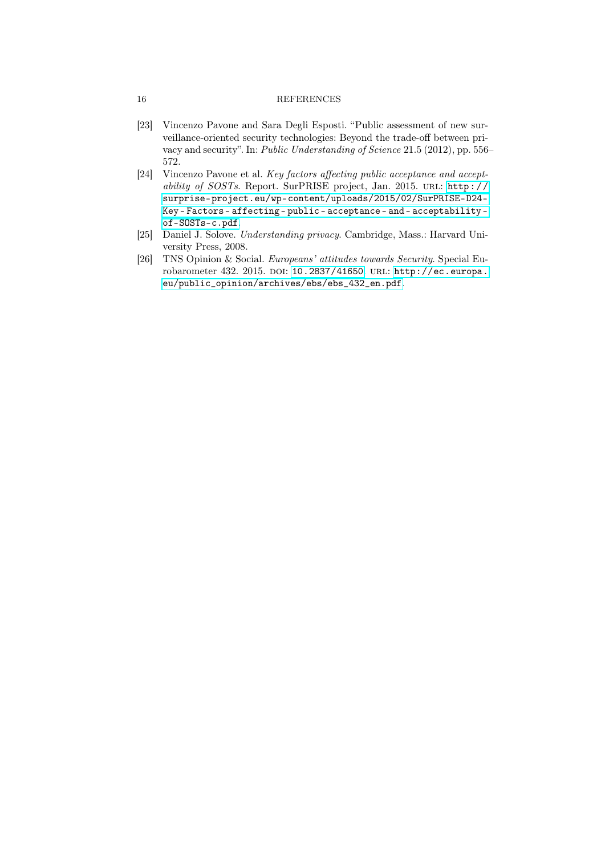#### 16 REFERENCES

- <span id="page-15-0"></span>[23] Vincenzo Pavone and Sara Degli Esposti. "Public assessment of new surveillance-oriented security technologies: Beyond the trade-off between privacy and security". In: Public Understanding of Science 21.5 (2012), pp. 556– 572.
- <span id="page-15-2"></span>[24] Vincenzo Pavone et al. Key factors affecting public acceptance and acceptability of SOSTs. Report. SurPRISE project, Jan. 2015. URL: http:// [surprise-project.eu/wp-content/uploads/2015/02/SurPRISE-D24-](http://surprise-project.eu/wp-content/uploads/2015/02/SurPRISE-D24-Key-Factors-affecting-public-acceptance-and-acceptability-of-SOSTs-c.pdf) [Key - Factors - affecting - public - acceptance - and - acceptability](http://surprise-project.eu/wp-content/uploads/2015/02/SurPRISE-D24-Key-Factors-affecting-public-acceptance-and-acceptability-of-SOSTs-c.pdf)  [of-SOSTs-c.pdf](http://surprise-project.eu/wp-content/uploads/2015/02/SurPRISE-D24-Key-Factors-affecting-public-acceptance-and-acceptability-of-SOSTs-c.pdf).
- <span id="page-15-1"></span>[25] Daniel J. Solove. Understanding privacy. Cambridge, Mass.: Harvard University Press, 2008.
- <span id="page-15-3"></span>[26] TNS Opinion & Social. Europeans' attitudes towards Security. Special Eu-robarometer 432. 2015. DOI: [10.2837/41650](http://dx.doi.org/10.2837/41650). URL: [http://ec.europa.](http://ec.europa.eu/public_opinion/archives/ebs/ebs_432_en.pdf) [eu/public\\_opinion/archives/ebs/ebs\\_432\\_en.pdf](http://ec.europa.eu/public_opinion/archives/ebs/ebs_432_en.pdf).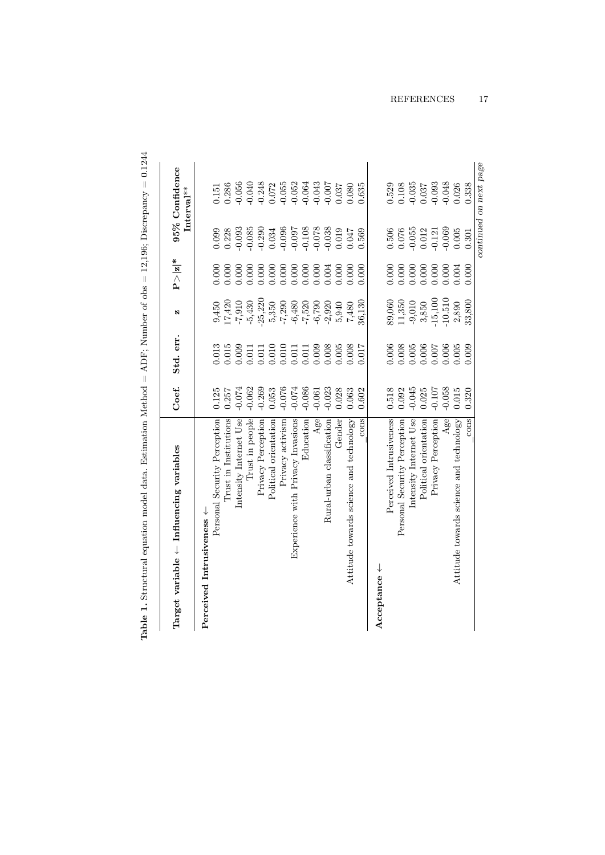<span id="page-16-0"></span>

| Target variable $\leftarrow$ Influencing variables | Coef.    | Std. err. | N                     | $\frac{\ast}{\sqrt{2}}$ |                      | 95% Confidence                                                                                                                    |
|----------------------------------------------------|----------|-----------|-----------------------|-------------------------|----------------------|-----------------------------------------------------------------------------------------------------------------------------------|
|                                                    |          |           |                       |                         |                      | $\mathbf{Interval}^{**}$                                                                                                          |
| Perceived Intrusiveness $\leftarrow$               |          |           |                       |                         |                      |                                                                                                                                   |
| Personal Security Perception                       | 0.125    | 0.13      | 9,450                 | 0.000                   |                      | 0.151                                                                                                                             |
| Trust in Institutions                              | 0.257    | 0.015     | 17,420                | 0.000                   | 0.099<br>0.228       | 0.286                                                                                                                             |
| Intensity Internet Use                             | $-0.074$ | 0.009     | $-7,910$              | 0.000                   | 0.093                |                                                                                                                                   |
| Trust in people                                    | 0.062    | 0.011     |                       | 0.000                   | $-0.085$<br>$-0.290$ | $\begin{array}{l} -0.056 \\ -0.040 \\ -0.248 \\ 0.072 \\ -0.055 \\ -0.054 \\ -0.043 \\ -0.043 \\ -0.004 \\ -0.007 \\ \end{array}$ |
| Privacy Perception                                 | $-0.269$ | 0.011     | $-5,430$<br>$-25,220$ | 0.000                   |                      |                                                                                                                                   |
| Political orientation                              | 0.053    | 0.010     | 5,350                 | 0.000                   | 0.034                |                                                                                                                                   |
| Privacy activism                                   | 0.076    | 0.010     | $-7,290$              | 0.000                   | $-0.096$             |                                                                                                                                   |
| Experience with Privacy Invasions                  | $-0.074$ | 0.011     | $-6,480$              | 0.000                   |                      |                                                                                                                                   |
| Education                                          | 0.086    | 0.011     | $-7,520$<br>$-6,790$  | 0.000                   | 80T.O-               |                                                                                                                                   |
| Age                                                | $-0.061$ | 0.009     |                       | 0.000                   | 820.0                |                                                                                                                                   |
| Rural-urban classification                         | 0.023    | 0.008     | $-2,920$              | 0.004                   | $-0.038$             |                                                                                                                                   |
| Gender                                             | 0.028    | 0.005     | 5,940                 | 0.000                   | 0.019<br>0.047       | $0.037\,$                                                                                                                         |
| Attitude towards science and technology            | 0.063    | 0.008     | 7,480                 | 0.000                   |                      | 0.080                                                                                                                             |
| $\cos$                                             | 0.602    | 0.017     | 36,130                | 0.000                   | 0.569                | 0.635                                                                                                                             |
| Acceptance $\leftarrow$                            |          |           |                       |                         |                      |                                                                                                                                   |
| Perceived Intrusiveness                            | 0.518    | $0.006\,$ |                       | 0.000                   |                      |                                                                                                                                   |
| Personal Security Perception                       | 0.092    | 0.008     | $89,060$<br>$11,350$  | 0.000                   | 0.506<br>0.076       | 0.529<br>0.108                                                                                                                    |
| Intensity Internet Use                             | $-0.045$ | 0.005     | $-9,010$              | 0.000                   |                      | $-0.035$<br>$0.037$                                                                                                               |
| Political orientation                              | 0.025    | 0.006     | 3,850                 | 0.000                   | $-0.055$<br>$0.012$  |                                                                                                                                   |
| Privacy Perception                                 | $-0.107$ | 0.007     | $-15,100$             | 0.000                   | $-0.121$             | $-0.093$                                                                                                                          |
| Age                                                | $-0.058$ | 0.006     | $-10.510$             | 0.000                   | $-0.069$             | $-0.048$                                                                                                                          |
| Attitude towards science and technology            | 0.015    | 0.005     | 2,890                 | 0.004                   | $0.005\,$            | 0.026                                                                                                                             |
| $\cos$                                             | 0.320    | 0.009     | 33,800                | 0.000                   | 0.301                | 0.338                                                                                                                             |
|                                                    |          |           |                       |                         |                      | continued on next page                                                                                                            |

Table 1. Structural equation model data. Estimation Method = ADF; Number of obs = 12,196; Discrepancy =  $0.1244$ **Table 1.** Structural equation model data. Estimation Method  $=$  ADF; Number of obs  $=$  12,196; Discrepancy  $=$  0.1244 REFERENCES 17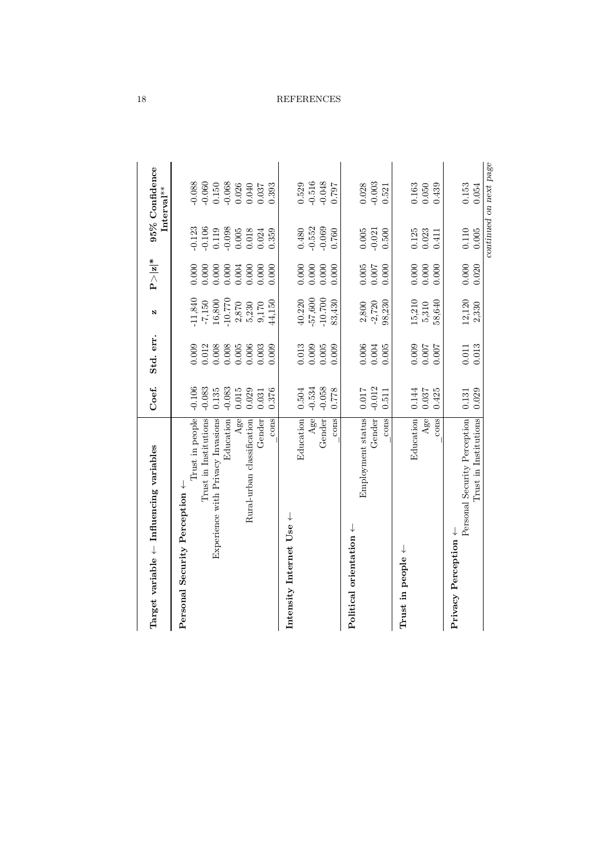## 18 REFERENCES

| Target variable $\leftarrow$ Influencing variables | Coef.    | Std. err. | N                  | $\frac{\ast}{P}$ |           | 95% Confidence<br>$\mathbf{Interval}^{**}$ |
|----------------------------------------------------|----------|-----------|--------------------|------------------|-----------|--------------------------------------------|
| Personal Security Perception                       |          |           |                    |                  |           |                                            |
| Trust in people                                    | $-0.106$ | 0.009     | $-11,840$          | $0.000$          | $-0.123$  |                                            |
| Trust in Institutions                              | $-0.083$ | 0.012     | $-7,150$           | 0.000            | $-0.106$  |                                            |
| Experience with Privacy Invasions                  | 0.135    | 0.008     | 16,800             | 0.000            | 0.119     | $-0.088$<br>$-0.060$<br>$0.150$            |
| Education                                          | $-0.083$ | 0.008     | $-10.770$          | 0.000            | $-0.098$  | $-0.068$<br>$0.026$                        |
| Age                                                | 0.015    | 0.005     |                    | 0.004            | 0.005     |                                            |
| Rural-urban classification                         | 0.029    | 0.006     | $2,870$<br>$5,230$ | 0.000            | 0.018     | 0.040                                      |
| Gender                                             | 0.031    | 0.003     | 9,170              | $0.000\,$        | 0.024     | 0.037                                      |
| $\cos$                                             | 0.376    | 0.009     | 44,150             | 0.000            | 0.359     | 0.393                                      |
| Intensity Internet Use $\leftarrow$                |          |           |                    |                  |           |                                            |
| Education                                          | 0.504    | 0.013     | 40.220             | 0.000            | 0.480     | 0.529                                      |
| Age                                                | $-0.534$ | 0.009     | $-57,600$          | 0.000            | $-0.552$  | $-0.516$                                   |
| Gender                                             | $-0.058$ | 0.005     | $-10.700$          | $0.000$          | $-0.069$  | $-0.048$                                   |
| $\cos$                                             | 0.778    | 0.009     | 83,430             | 0.000            | 0.760     | 1610                                       |
| $Political$ orientation $\leftarrow$               |          |           |                    |                  |           |                                            |
| Employment status                                  | 0.017    | 0.006     | 2,800              | 0.005            | 0.005     | 0.028                                      |
| Gender                                             | $-0.012$ | 0.004     | $-2,720$           | $0.007$          | $-0.021$  | $-0.003$                                   |
| $\cos$                                             | 0.511    | 0.005     | 98,230             | 0.000            | $0.500\,$ | 0.521                                      |
| Trust in people $\leftarrow$                       |          |           |                    |                  |           |                                            |
| Education                                          | 0.144    | 0.009     | 15,210             | 0.000            | 0.125     |                                            |
| Age                                                | 0.037    | 0.007     | 5,310              | $0.000$          | 0.023     | $0.163$<br>$0.050$                         |
| $\cos$                                             | 0.425    | 0.007     | 58,640             | 0.000            | 0.411     | 0.439                                      |
| Privacy Perception                                 |          |           |                    |                  |           |                                            |
| Personal Security Perception                       | 0.131    | 0.011     | 12,120             | 0.000            | 0.110     | 0.153                                      |
| Trust in Institutions                              | 0.029    | 0.013     | 2,330              | 0.020            | 0.005     | 0.054                                      |
|                                                    |          |           |                    |                  |           | continued on next page                     |